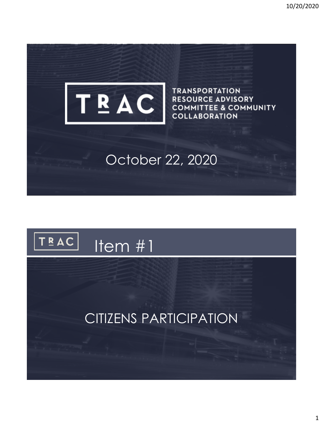

**TRANSPORTATION RESOURCE ADVISORY COMMITTEE & COMMUNITY COLLABORATION** 

### October 22, 2020

#### $TRAC$ Item #1

#### CITIZENS PARTICIPATION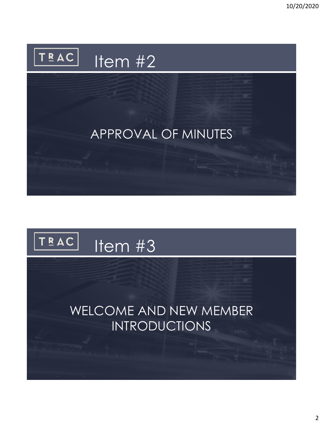10/20/2020



### APPROVAL OF MINUTES

#### $TRAC$ Item #3

#### WELCOME AND NEW MEMBER INTRODUCTIONS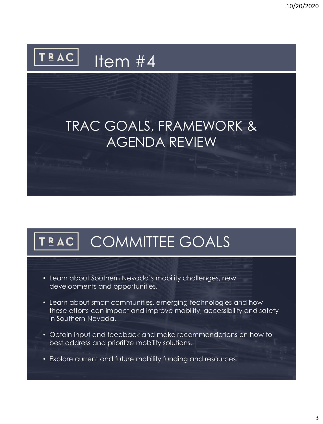#### TRAC | Item  $\overline{\#4}$

## TRAC GOALS, FRAMEWORK & AGENDA REVIEW

# TEAC COMMITTEE GOALS

- Learn about Southern Nevada's mobility challenges, new developments and opportunities.
- Learn about smart communities, emerging technologies and how these efforts can impact and improve mobility, accessibility and safety in Southern Nevada.
- Obtain input and feedback and make recommendations on how to best address and prioritize mobility solutions.
- Explore current and future mobility funding and resources.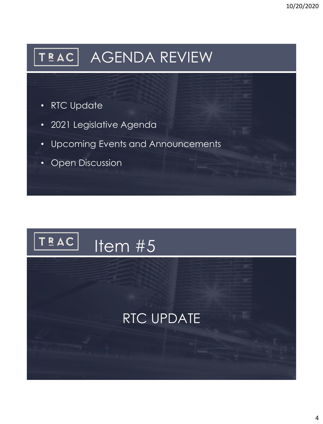# TEAC AGENDA REVIEW

- RTC Update
- 2021 Legislative Agenda
- Upcoming Events and Announcements
- Open Discussion

#### TRAC<sup></sub></sup> Item #5

## RTC UPDATE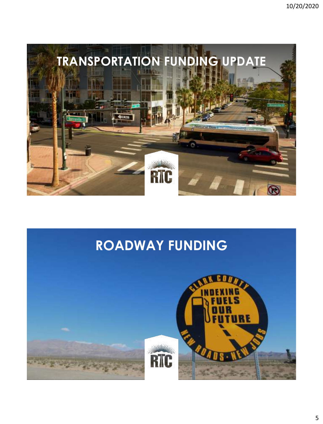

#### **ROADWAY FUNDING**

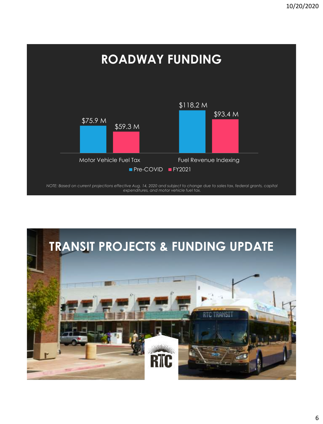

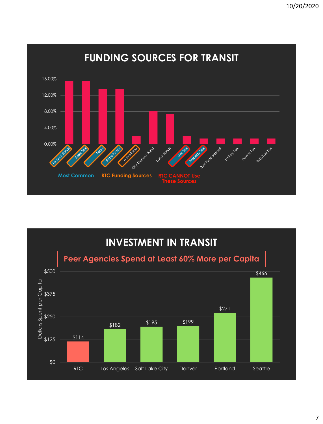

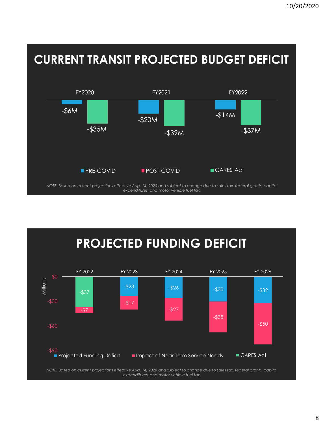



*NOTE: Based on current projections effective Aug. 14, 2020 and subject to change due to sales tax, federal grants, capital expenditures, and motor vehicle fuel tax.*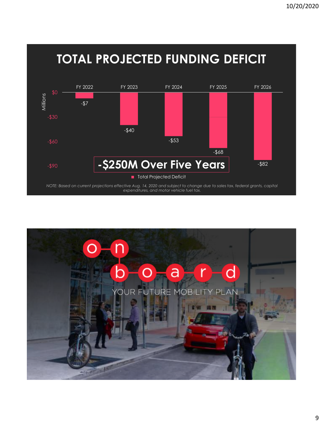

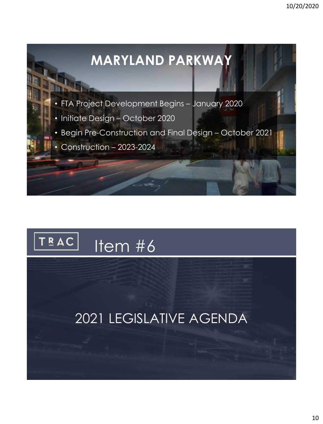



## 2021 LEGISLATIVE AGENDA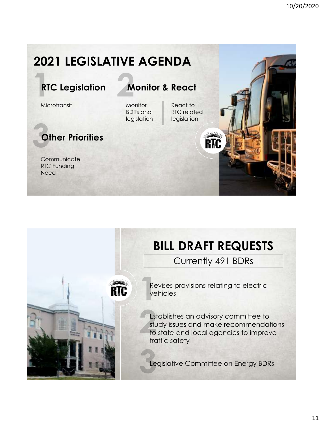## **2021 LEGISLATIVE AGENDA**

RM

#### **RTC Legislation**

**Microtransit** 

#### **Other Priorities**

**Communicate** RTC Funding **Need** 

**Monitor & React**

**Monitor** BDRs and legislation

React to RTC related legislation



## **BILL DRAFT REQUESTS**

Currently 491 BDRs



Establishes an advisory committee to study issues and make recommendations to state and local agencies to improve traffic safety

Legislative Committee on Energy BDRs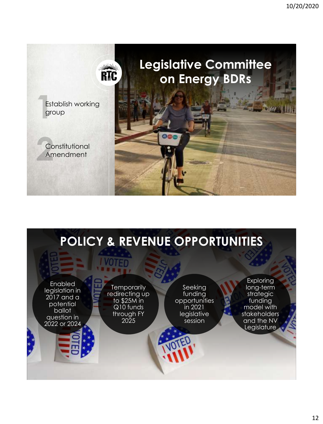

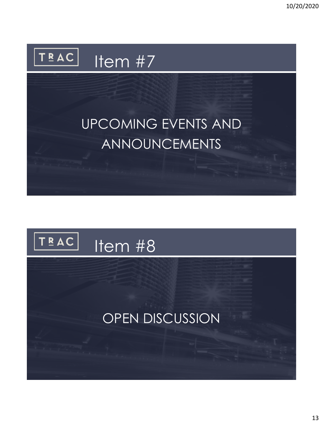

# UPCOMING EVENTS AND ANNOUNCEMENTS

#### TRAC<sup></sub></sup> Item #8

## OPEN DISCUSSION